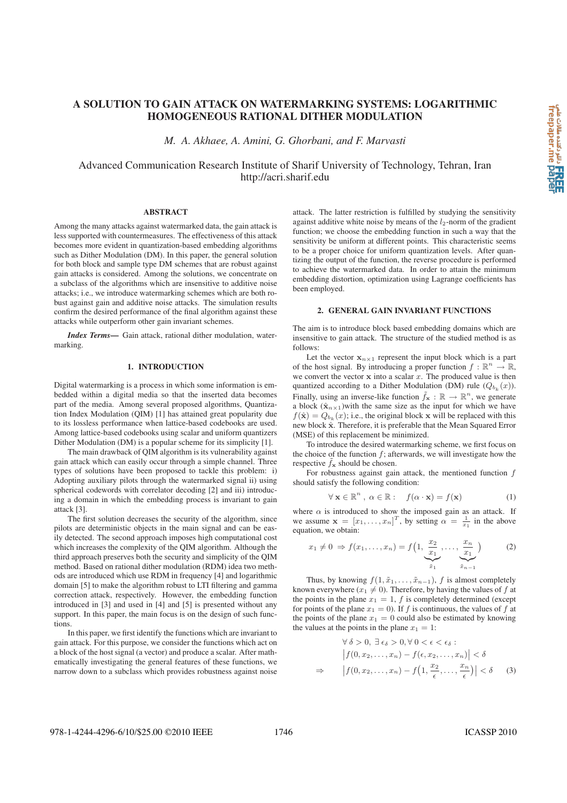# A SOLUTION TO GAIN ATTACK ON WATERMARKING SYSTEMS: LOGARITHMIC HOMOGENEOUS RATIONAL DITHER MODULATION

*M. A. Akhaee, A. Amini, G. Ghorbani, and F. Marvasti*

Advanced Communication Research Institute of Sharif University of Technology, Tehran, Iran http://acri.sharif.edu

### ABSTRACT

Among the many attacks against watermarked data, the gain attack is less supported with countermeasures. The effectiveness of this attack becomes more evident in quantization-based embedding algorithms such as Dither Modulation (DM). In this paper, the general solution for both block and sample type DM schemes that are robust against gain attacks is considered. Among the solutions, we concentrate on a subclass of the algorithms which are insensitive to additive noise attacks; i.e., we introduce watermarking schemes which are both robust against gain and additive noise attacks. The simulation results confirm the desired performance of the final algorithm against these attacks while outperform other gain invariant schemes.

*Index Terms*— Gain attack, rational dither modulation, watermarking.

# 1. INTRODUCTION

Digital watermarking is a process in which some information is embedded within a digital media so that the inserted data becomes part of the media. Among several proposed algorithms, Quantization Index Modulation (QIM) [1] has attained great popularity due to its lossless performance when lattice-based codebooks are used. Among lattice-based codebooks using scalar and uniform quantizers Dither Modulation (DM) is a popular scheme for its simplicity [1].

The main drawback of QIM algorithm is its vulnerability against gain attack which can easily occur through a simple channel. Three types of solutions have been proposed to tackle this problem: i) Adopting auxiliary pilots through the watermarked signal ii) using spherical codewords with correlator decoding [2] and iii) introducing a domain in which the embedding process is invariant to gain attack [3].

The first solution decreases the security of the algorithm, since pilots are deterministic objects in the main signal and can be easily detected. The second approach imposes high computational cost which increases the complexity of the QIM algorithm. Although the third approach preserves both the security and simplicity of the QIM method. Based on rational dither modulation (RDM) idea two methods are introduced which use RDM in frequency [4] and logarithmic domain [5] to make the algorithm robust to LTI filtering and gamma correction attack, respectively. However, the embedding function introduced in [3] and used in [4] and [5] is presented without any support. In this paper, the main focus is on the design of such functions.

In this paper, we first identify the functions which are invariant to gain attack. For this purpose, we consider the functions which act on a block of the host signal (a vector) and produce a scalar. After mathematically investigating the general features of these functions, we narrow down to a subclass which provides robustness against noise

attack. The latter restriction is fulfilled by studying the sensitivity against additive white noise by means of the  $l_2$ -norm of the gradient function; we choose the embedding function in such a way that the sensitivity be uniform at different points. This characteristic seems to be a proper choice for uniform quantization levels. After quantizing the output of the function, the reverse procedure is performed to achieve the watermarked data. In order to attain the minimum embedding distortion, optimization using Lagrange coefficients has been employed.

### 2. GENERAL GAIN INVARIANT FUNCTIONS

The aim is to introduce block based embedding domains which are insensitive to gain attack. The structure of the studied method is as follows:

Let the vector  $x_{n\times 1}$  represent the input block which is a part of the host signal. By introducing a proper function  $f : \mathbb{R}^n \to \mathbb{R}$ , we convert the vector  $x$  into a scalar  $x$ . The produced value is then quantized according to a Dither Modulation (DM) rule  $(Q_{b_k}(x))$ . Finally, using an inverse-like function  $\tilde{f}_x : \mathbb{R} \to \mathbb{R}^n$ , we generate a block  $(\hat{\mathbf{x}}_{n\times1})$  with the same size as the input for which we have  $f(\hat{\mathbf{x}}) = Q_{b_k}(x)$ ; i.e., the original block x will be replaced with this new block  $\hat{x}$ . Therefore, it is preferable that the Mean Squared Error (MSE) of this replacement be minimized.

To introduce the desired watermarking scheme, we first focus on the choice of the function  $f$ ; afterwards, we will investigate how the respective  $\tilde{f}_x$  should be chosen.

For robustness against gain attack, the mentioned function  $f$ should satisfy the following condition:

$$
\forall \mathbf{x} \in \mathbb{R}^n, \ \alpha \in \mathbb{R} : \quad f(\alpha \cdot \mathbf{x}) = f(\mathbf{x}) \tag{1}
$$

where  $\alpha$  is introduced to show the imposed gain as an attack. If we assume  $\mathbf{x} = [x_1, \dots, x_n]^T$ , by setting  $\alpha = \frac{1}{x_1}$  in the above equation, we obtain:

$$
x_1 \neq 0 \Rightarrow f(x_1, ..., x_n) = f\left(1, \underbrace{\frac{x_2}{x_1}}, ..., \underbrace{\frac{x_n}{x_1}}_{\tilde{x}_{n-1}}\right) \tag{2}
$$

Thus, by knowing  $f(1, \tilde{x}_1, \ldots, \tilde{x}_{n-1}),$  f is almost completely known everywhere ( $x_1 \neq 0$ ). Therefore, by having the values of f at the points in the plane  $x_1 = 1$ , f is completely determined (except for points of the plane  $x_1 = 0$ . If f is continuous, the values of f at the points of the plane  $x_1 = 0$  could also be estimated by knowing the values at the points in the plane  $x_1 = 1$ :

$$
\forall \delta > 0, \exists \epsilon_{\delta} > 0, \forall 0 < \epsilon < \epsilon_{\delta} :
$$
  
\n
$$
\left| f(0, x_2, \dots, x_n) - f(\epsilon, x_2, \dots, x_n) \right| < \delta
$$
  
\n
$$
\Rightarrow \left| f(0, x_2, \dots, x_n) - f\left(1, \frac{x_2}{\epsilon}, \dots, \frac{x_n}{\epsilon}\right) \right| < \delta
$$
 (3)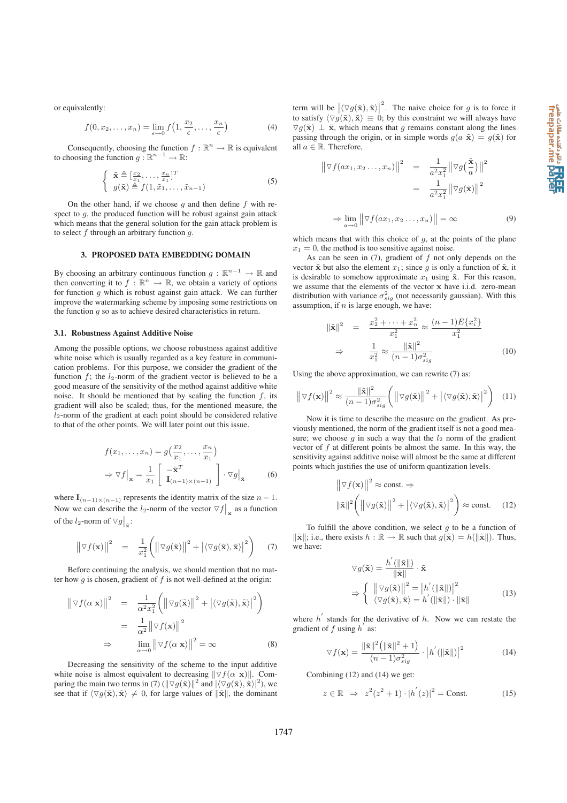or equivalently:

$$
f(0, x_2, \dots, x_n) = \lim_{\epsilon \to 0} f\left(1, \frac{x_2}{\epsilon}, \dots, \frac{x_n}{\epsilon}\right) \tag{4}
$$

Consequently, choosing the function  $f : \mathbb{R}^n \to \mathbb{R}$  is equivalent to choosing the function  $g : \mathbb{R}^{n-1} \to \mathbb{R}$ :

$$
\begin{cases} \tilde{\mathbf{x}} \triangleq [\frac{x_2}{x_1}, \dots, \frac{x_n}{x_1}]^T \\ g(\tilde{\mathbf{x}}) \triangleq f(1, \tilde{x}_1, \dots, \tilde{x}_{n-1}) \end{cases}
$$
 (5)

On the other hand, if we choose  $g$  and then define  $f$  with respect to  $g$ , the produced function will be robust against gain attack which means that the general solution for the gain attack problem is to select  $f$  through an arbitrary function  $q$ .

# 3. PROPOSED DATA EMBEDDING DOMAIN

By choosing an arbitrary continuous function  $g : \mathbb{R}^{n-1} \to \mathbb{R}$  and then converting it to  $f : \mathbb{R}^n \to \mathbb{R}$ , we obtain a variety of options for function  $g$  which is robust against gain attack. We can further improve the watermarking scheme by imposing some restrictions on the function  $q$  so as to achieve desired characteristics in return.

#### 3.1. Robustness Against Additive Noise

Among the possible options, we choose robustness against additive white noise which is usually regarded as a key feature in communication problems. For this purpose, we consider the gradient of the function  $f$ ; the  $l_2$ -norm of the gradient vector is believed to be a good measure of the sensitivity of the method against additive white noise. It should be mentioned that by scaling the function  $f$ , its gradient will also be scaled; thus, for the mentioned measure, the  $l_2$ -norm of the gradient at each point should be considered relative to that of the other points. We will later point out this issue.

$$
f(x_1, \dots, x_n) = g\left(\frac{x_2}{x_1}, \dots, \frac{x_n}{x_1}\right)
$$
  
\n
$$
\Rightarrow \nabla f\big|_{\mathbf{x}} = \frac{1}{x_1} \left[ \begin{array}{c} -\tilde{\mathbf{x}}^T \\ \mathbf{I}_{(n-1)\times(n-1)} \end{array} \right] \cdot \nabla g\big|_{\tilde{\mathbf{x}}} \tag{6}
$$

where  $\mathbf{I}_{(n-1)\times(n-1)}$  represents the identity matrix of the size  $n-1$ . Now we can describe the  $l_2$ -norm of the vector  $\nabla f|_{\mathbf{x}}$  as a function of the  $l_2$ -norm of  $\triangledown g|_{\tilde{\mathbf{x}}}$ :

$$
\left\|\nabla f(\mathbf{x})\right\|^2 = \frac{1}{x_1^2} \left( \left\|\nabla g(\tilde{\mathbf{x}})\right\|^2 + \left|\langle\nabla g(\tilde{\mathbf{x}}), \tilde{\mathbf{x}}\rangle\right|^2 \right) \quad (7)
$$

Before continuing the analysis, we should mention that no matter how  $q$  is chosen, gradient of  $f$  is not well-defined at the origin:

$$
\|\nabla f(\alpha \mathbf{x})\|^2 = \frac{1}{\alpha^2 x_1^2} \left( \|\nabla g(\tilde{\mathbf{x}})\|^2 + \left| \langle \nabla g(\tilde{\mathbf{x}}), \tilde{\mathbf{x}} \rangle \right|^2 \right)
$$
  

$$
= \frac{1}{\alpha^2} \|\nabla f(\mathbf{x})\|^2
$$
  

$$
\Rightarrow \lim_{\alpha \to 0} \|\nabla f(\alpha \mathbf{x})\|^2 = \infty
$$
 (8)

Decreasing the sensitivity of the scheme to the input additive white noise is almost equivalent to decreasing  $|| \nabla f(\alpha \mathbf{x})||$ . Comparing the main two terms in (7) ( $\|\nabla g(\tilde{\mathbf{x}})\|^2$  and  $|\langle \nabla g(\tilde{\mathbf{x}}), \tilde{\mathbf{x}} \rangle|^2$ ), we see that if  $\langle \nabla g(\tilde{\mathbf{x}}), \tilde{\mathbf{x}} \rangle \neq 0$ , for large values of  $\|\tilde{\mathbf{x}}\|$ , the dominant

term will be  $(\langle \nabla g(\tilde{\mathbf{x}}), \tilde{\mathbf{x}} \rangle)^2$ . The naive choice for g is to force it to satisfy  $\langle \nabla g(\tilde{\mathbf{x}}), \tilde{\mathbf{x}} \rangle \equiv 0$ ; by this constraint we will always have  $\nabla g(\tilde{\mathbf{x}}) \perp \tilde{\mathbf{x}}$ , which means that g remains constant along the lines passing through the origin, or in simple words  $g(a \tilde{\mathbf{x}}) = g(\tilde{\mathbf{x}})$  for all  $a \in \mathbb{R}$ . Therefore,

$$
\left\| \nabla f(ax_1, x_2 \dots, x_n) \right\|^2 = \frac{1}{a^2 x_1^2} \left\| \nabla g\left(\frac{\tilde{\mathbf{x}}}{a}\right) \right\|^2
$$

$$
= \frac{1}{a^2 x_1^2} \left\| \nabla g(\tilde{\mathbf{x}}) \right\|^2
$$

$$
\Rightarrow \lim_{a \to 0} \left\| \nabla f(ax_1, x_2 \dots, x_n) \right\| = \infty
$$
(9)

which means that with this choice of  $g$ , at the points of the plane  $x_1 = 0$ , the method is too sensitive against noise.

As can be seen in  $(7)$ , gradient of  $f$  not only depends on the vector  $\tilde{\mathbf{x}}$  but also the element  $x_1$ ; since q is only a function of  $\tilde{\mathbf{x}}$ , it is desirable to somehow approximate  $x_1$  using  $\tilde{x}$ . For this reason, we assume that the elements of the vector x have i.i.d. zero-mean distribution with variance  $\sigma_{sig}^2$  (not necessarily gaussian). With this assumption, if  $n$  is large enough, we have:

$$
\|\tilde{\mathbf{x}}\|^2 = \frac{x_2^2 + \dots + x_n^2}{x_1^2} \approx \frac{(n-1)E\{x_i^2\}}{x_1^2}
$$
  
\n
$$
\Rightarrow \frac{1}{x_1^2} \approx \frac{\|\tilde{\mathbf{x}}\|^2}{(n-1)\sigma_{sig}^2}
$$
 (10)

Using the above approximation, we can rewrite (7) as:

$$
\left\|\nabla f(\mathbf{x})\right\|^2 \approx \frac{\|\tilde{\mathbf{x}}\|^2}{(n-1)\sigma_{sig}^2} \left(\left\|\nabla g(\tilde{\mathbf{x}})\right\|^2 + \left|\langle\nabla g(\tilde{\mathbf{x}}), \tilde{\mathbf{x}}\rangle\right|^2\right) \tag{11}
$$

Now it is time to describe the measure on the gradient. As previously mentioned, the norm of the gradient itself is not a good measure; we choose  $g$  in such a way that the  $l_2$  norm of the gradient vector of  $f$  at different points be almost the same. In this way, the sensitivity against additive noise will almost be the same at different points which justifies the use of uniform quantization levels.

$$
\|\nabla f(\mathbf{x})\|^2 \approx \text{const.} \Rightarrow
$$
  

$$
\|\tilde{\mathbf{x}}\|^2 \left( \|\nabla g(\tilde{\mathbf{x}})\|^2 + \left|\langle \nabla g(\tilde{\mathbf{x}}), \tilde{\mathbf{x}} \rangle\right|^2 \right) \approx \text{const.}
$$
 (12)

To fulfill the above condition, we select  $q$  to be a function of  $\|\tilde{\mathbf{x}}\|$ ; i.e., there exists  $h : \mathbb{R} \to \mathbb{R}$  such that  $g(\tilde{\mathbf{x}}) = h(\|\tilde{\mathbf{x}}\|)$ . Thus, we have:

$$
\nabla g(\tilde{\mathbf{x}}) = \frac{h'(\|\tilde{\mathbf{x}}\|)}{\|\tilde{\mathbf{x}}\|} \cdot \tilde{\mathbf{x}}
$$
  
\n
$$
\Rightarrow \begin{cases} \|\nabla g(\tilde{\mathbf{x}})\|^2 = \left|h'(\|\tilde{\mathbf{x}}\|)\right|^2 \\ \langle \nabla g(\tilde{\mathbf{x}}), \tilde{\mathbf{x}} \rangle = h'(\|\tilde{\mathbf{x}}\|) \cdot \|\tilde{\mathbf{x}}\| \end{cases}
$$
(13)

where  $h'$  stands for the derivative of h. Now we can restate the gradient of f using  $h'$  as:

$$
\nabla f(\mathbf{x}) = \frac{\|\tilde{\mathbf{x}}\|^2 \left( \|\tilde{\mathbf{x}}\|^2 + 1 \right)}{(n-1)\sigma_{sig}^2} \cdot \left| h^{'}(\|\tilde{\mathbf{x}}\|) \right|^2 \tag{14}
$$

Combining (12) and (14) we get:

$$
z \in \mathbb{R} \Rightarrow z^2(z^2 + 1) \cdot |h^{'}(z)|^2 = \text{Const.}
$$
 (15)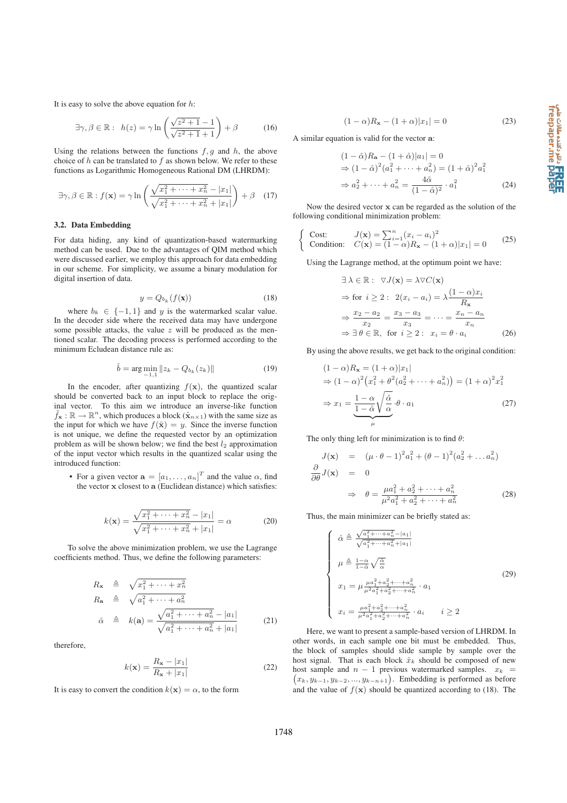It is easy to solve the above equation for  $h$ :

$$
\exists \gamma, \beta \in \mathbb{R} : h(z) = \gamma \ln \left( \frac{\sqrt{z^2 + 1} - 1}{\sqrt{z^2 + 1} + 1} \right) + \beta \tag{16}
$$

Using the relations between the functions  $f, g$  and  $h$ , the above choice of  $h$  can be translated to  $f$  as shown below. We refer to these functions as Logarithmic Homogeneous Rational DM (LHRDM):

$$
\exists \gamma, \beta \in \mathbb{R}: f(\mathbf{x}) = \gamma \ln \left( \frac{\sqrt{x_1^2 + \dots + x_n^2} - |x_1|}{\sqrt{x_1^2 + \dots + x_n^2} + |x_1|} \right) + \beta \quad (17)
$$

# 3.2. Data Embedding

For data hiding, any kind of quantization-based watermarking method can be used. Due to the advantages of QIM method which were discussed earlier, we employ this approach for data embedding in our scheme. For simplicity, we assume a binary modulation for digital insertion of data.

$$
y = Q_{b_k}(f(\mathbf{x}))\tag{18}
$$

where  $b_k \in \{-1, 1\}$  and y is the watermarked scalar value. In the decoder side where the received data may have undergone some possible attacks, the value  $z$  will be produced as the mentioned scalar. The decoding process is performed according to the minimum Ecludean distance rule as:

$$
\hat{b} = \arg\min_{-1,1} ||z_k - Q_{b_k}(z_k)|| \tag{19}
$$

In the encoder, after quantizing  $f(\mathbf{x})$ , the quantized scalar should be converted back to an input block to replace the original vector. To this aim we introduce an inverse-like function  $\tilde{f}_x : \mathbb{R} \to \mathbb{R}^n$ , which produces a block  $(\hat{\mathbf{x}}_{n \times 1})$  with the same size as the input for which we have  $f(\hat{x}) = y$ . Since the inverse function is not unique, we define the requested vector by an optimization problem as will be shown below; we find the best  $l_2$  approximation of the input vector which results in the quantized scalar using the introduced function:

• For a given vector  $\mathbf{a} = [a_1, \dots, a_n]^T$  and the value  $\alpha$ , find the vector x closest to a (Euclidean distance) which satisfies:

$$
k(\mathbf{x}) = \frac{\sqrt{x_1^2 + \dots + x_n^2} - |x_1|}{\sqrt{x_1^2 + \dots + x_n^2} + |x_1|} = \alpha
$$
 (20)

To solve the above minimization problem, we use the Lagrange coefficients method. Thus, we define the following parameters:

$$
R_{\mathbf{x}} \triangleq \sqrt{x_1^2 + \dots + x_n^2}
$$
  
\n
$$
R_{\mathbf{a}} \triangleq \sqrt{a_1^2 + \dots + a_n^2}
$$
  
\n
$$
\hat{\alpha} \triangleq k(\mathbf{a}) = \frac{\sqrt{a_1^2 + \dots + a_n^2} - |a_1|}{\sqrt{a_1^2 + \dots + a_n^2} + |a_1|}
$$
 (21)

therefore,

$$
k(\mathbf{x}) = \frac{R_{\mathbf{x}} - |x_1|}{R_{\mathbf{x}} + |x_1|} \tag{22}
$$

It is easy to convert the condition  $k(x) = \alpha$ , to the form

$$
(1 - \alpha)R_{\mathbf{x}} - (1 + \alpha)|x_1| = 0
$$
 (23)

A similar equation is valid for the vector a:

$$
(1 - \hat{\alpha})R_{\mathbf{a}} - (1 + \hat{\alpha})|a_1| = 0
$$
  
\n
$$
\Rightarrow (1 - \hat{\alpha})^2 (a_1^2 + \dots + a_n^2) = (1 + \hat{\alpha})^2 a_1^2
$$
  
\n
$$
\Rightarrow a_2^2 + \dots + a_n^2 = \frac{4\hat{\alpha}}{(1 - \hat{\alpha})^2} \cdot a_1^2
$$
 (24)

Now the desired vector x can be regarded as the solution of the following conditional minimization problem:

$$
\begin{cases}\n\text{Cost:} & J(\mathbf{x}) = \sum_{i=1}^{n} (x_i - a_i)^2 \\
\text{Condition:} & C(\mathbf{x}) = (1 - \alpha)R_\mathbf{x} - (1 + \alpha)|x_1| = 0\n\end{cases}
$$
\n(25)

Using the Lagrange method, at the optimum point we have:

$$
\exists \lambda \in \mathbb{R}: \ \nabla J(\mathbf{x}) = \lambda \nabla C(\mathbf{x})
$$
\n
$$
\Rightarrow \text{ for } i \ge 2: \ 2(x_i - a_i) = \lambda \frac{(1 - \alpha)x_i}{R_\mathbf{x}}
$$
\n
$$
\Rightarrow \frac{x_2 - a_2}{x_2} = \frac{x_3 - a_3}{x_3} = \dots = \frac{x_n - a_n}{x_n}
$$
\n
$$
\Rightarrow \exists \theta \in \mathbb{R}, \text{ for } i \ge 2: \ x_i = \theta \cdot a_i \tag{26}
$$

By using the above results, we get back to the original condition:

$$
(1 - \alpha)R_{\mathbf{x}} = (1 + \alpha)|x_1|
$$
  
\n
$$
\Rightarrow (1 - \alpha)^2 (x_1^2 + \theta^2 (a_2^2 + \dots + a_n^2)) = (1 + \alpha)^2 x_1^2
$$
  
\n
$$
\Rightarrow x_1 = \underbrace{\frac{1 - \alpha}{1 - \hat{\alpha}} \sqrt{\frac{\hat{\alpha}}{\alpha}}}_{\mu} \cdot \theta \cdot a_1
$$
 (27)

The only thing left for minimization is to find  $\theta$ :

$$
J(\mathbf{x}) = (\mu \cdot \theta - 1)^2 a_1^2 + (\theta - 1)^2 (a_2^2 + ... a_n^2)
$$
  
\n
$$
\frac{\partial}{\partial \theta} J(\mathbf{x}) = 0
$$
  
\n
$$
\Rightarrow \theta = \frac{\mu a_1^2 + a_2^2 + ... + a_n^2}{\mu^2 a_1^2 + a_2^2 + ... + a_n^2}
$$
 (28)

Thus, the main minimizer can be briefly stated as:

$$
\begin{cases}\n\hat{\alpha} \triangleq \frac{\sqrt{a_1^2 + \dots + a_n^2} - |a_1|}{\sqrt{a_1^2 + \dots + a_n^2} + |a_1|} \\
\mu \triangleq \frac{1 - \alpha}{1 - \hat{\alpha}} \sqrt{\frac{\hat{\alpha}}{\alpha}} \\
x_1 = \mu \frac{\mu a_1^2 + a_2^2 + \dots + a_n^2}{\mu^2 a_1^2 + a_2^2 + \dots + a_n^2} \cdot a_1 \\
x_i = \frac{\mu a_1^2 + a_2^2 + \dots + a_n^2}{\mu^2 a_1^2 + a_2^2 + \dots + a_n^2} \cdot a_i \qquad i \ge 2\n\end{cases}
$$
\n(29)

Here, we want to present a sample-based version of LHRDM. In other words, in each sample one bit must be embedded. Thus, the block of samples should slide sample by sample over the host signal. That is each block  $\hat{x}_k$  should be composed of new  $(x_k, y_{k-1}, y_{k-2}, ..., y_{k-n+1})$ . Embedding is performed as before host sample and  $n - 1$  previous watermarked samples.  $x_k$  = and the value of  $f(\mathbf{x})$  should be quantized according to (18). The